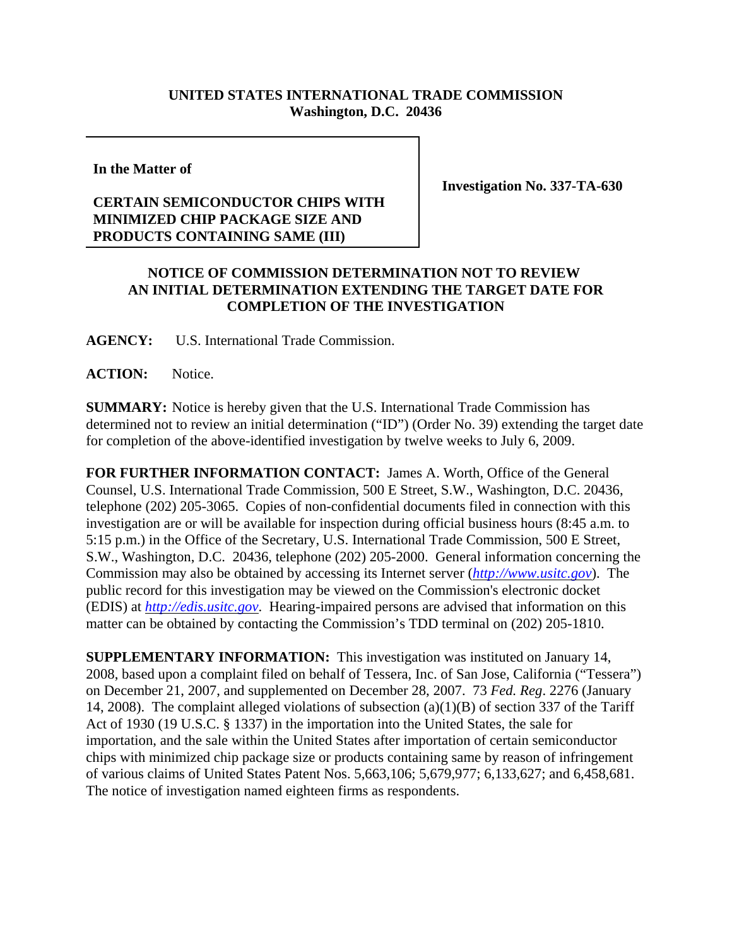## **UNITED STATES INTERNATIONAL TRADE COMMISSION Washington, D.C. 20436**

**In the Matter of**

## **CERTAIN SEMICONDUCTOR CHIPS WITH MINIMIZED CHIP PACKAGE SIZE AND PRODUCTS CONTAINING SAME (III)**

**Investigation No. 337-TA-630**

## **NOTICE OF COMMISSION DETERMINATION NOT TO REVIEW AN INITIAL DETERMINATION EXTENDING THE TARGET DATE FOR COMPLETION OF THE INVESTIGATION**

**AGENCY:** U.S. International Trade Commission.

**ACTION:** Notice.

**SUMMARY:** Notice is hereby given that the U.S. International Trade Commission has determined not to review an initial determination ("ID") (Order No. 39) extending the target date for completion of the above-identified investigation by twelve weeks to July 6, 2009.

**FOR FURTHER INFORMATION CONTACT:** James A. Worth, Office of the General Counsel, U.S. International Trade Commission, 500 E Street, S.W., Washington, D.C. 20436, telephone (202) 205-3065. Copies of non-confidential documents filed in connection with this investigation are or will be available for inspection during official business hours (8:45 a.m. to 5:15 p.m.) in the Office of the Secretary, U.S. International Trade Commission, 500 E Street, S.W., Washington, D.C. 20436, telephone (202) 205-2000. General information concerning the Commission may also be obtained by accessing its Internet server (*http://www.usitc.gov*). The public record for this investigation may be viewed on the Commission's electronic docket (EDIS) at *http://edis.usitc.gov*. Hearing-impaired persons are advised that information on this matter can be obtained by contacting the Commission's TDD terminal on (202) 205-1810.

**SUPPLEMENTARY INFORMATION:** This investigation was instituted on January 14, 2008, based upon a complaint filed on behalf of Tessera, Inc. of San Jose, California ("Tessera") on December 21, 2007, and supplemented on December 28, 2007. 73 *Fed. Reg*. 2276 (January 14, 2008). The complaint alleged violations of subsection (a)(1)(B) of section 337 of the Tariff Act of 1930 (19 U.S.C. § 1337) in the importation into the United States, the sale for importation, and the sale within the United States after importation of certain semiconductor chips with minimized chip package size or products containing same by reason of infringement of various claims of United States Patent Nos. 5,663,106; 5,679,977; 6,133,627; and 6,458,681. The notice of investigation named eighteen firms as respondents.